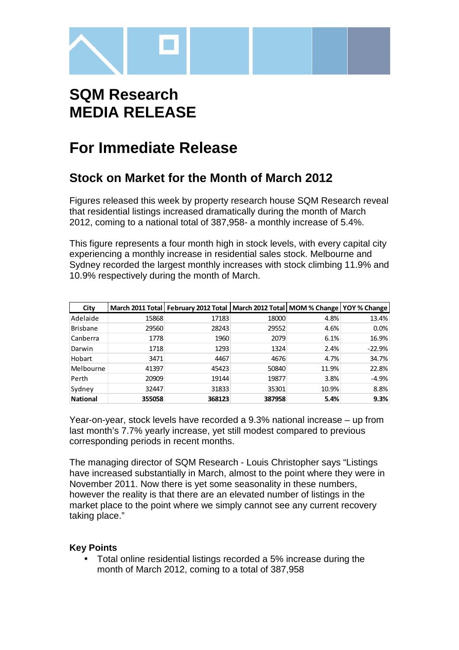

# **SQM Research MEDIA RELEASE**

## **For Immediate Release**

### **Stock on Market for the Month of March 2012**

Figures released this week by property research house SQM Research reveal that residential listings increased dramatically during the month of March 2012, coming to a national total of 387,958- a monthly increase of 5.4%.

This figure represents a four month high in stock levels, with every capital city experiencing a monthly increase in residential sales stock. Melbourne and Sydney recorded the largest monthly increases with stock climbing 11.9% and 10.9% respectively during the month of March.

| City            |        | March 2011 Total   February 2012 Total   March 2012 Total   MOM % Change   YOY % Change |        |       |          |
|-----------------|--------|-----------------------------------------------------------------------------------------|--------|-------|----------|
| Adelaide        | 15868  | 17183                                                                                   | 18000  | 4.8%  | 13.4%    |
| <b>Brisbane</b> | 29560  | 28243                                                                                   | 29552  | 4.6%  | 0.0%     |
| Canberra        | 1778   | 1960                                                                                    | 2079   | 6.1%  | 16.9%    |
| Darwin          | 1718   | 1293                                                                                    | 1324   | 2.4%  | $-22.9%$ |
| Hobart          | 3471   | 4467                                                                                    | 4676   | 4.7%  | 34.7%    |
| Melbourne       | 41397  | 45423                                                                                   | 50840  | 11.9% | 22.8%    |
| Perth           | 20909  | 19144                                                                                   | 19877  | 3.8%  | $-4.9%$  |
| Sydney          | 32447  | 31833                                                                                   | 35301  | 10.9% | 8.8%     |
| <b>National</b> | 355058 | 368123                                                                                  | 387958 | 5.4%  | 9.3%     |

Year-on-year, stock levels have recorded a 9.3% national increase – up from last month's 7.7% yearly increase, yet still modest compared to previous corresponding periods in recent months.

The managing director of SQM Research - Louis Christopher says "Listings have increased substantially in March, almost to the point where they were in November 2011. Now there is yet some seasonality in these numbers, however the reality is that there are an elevated number of listings in the market place to the point where we simply cannot see any current recovery taking place."

#### **Key Points**

• Total online residential listings recorded a 5% increase during the month of March 2012, coming to a total of 387,958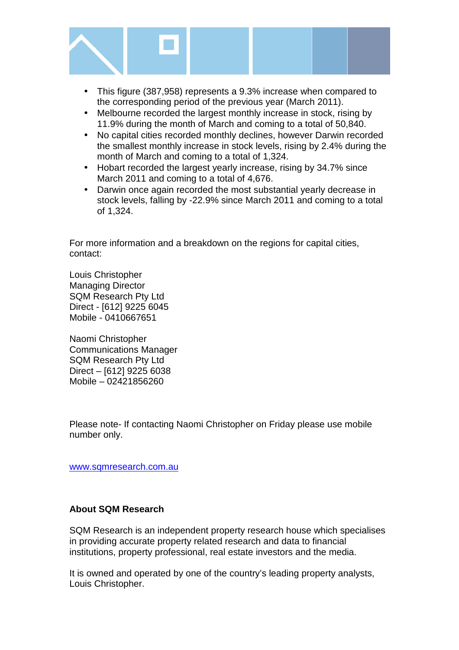

- This figure (387,958) represents a 9.3% increase when compared to the corresponding period of the previous year (March 2011).
- Melbourne recorded the largest monthly increase in stock, rising by 11.9% during the month of March and coming to a total of 50,840.
- No capital cities recorded monthly declines, however Darwin recorded the smallest monthly increase in stock levels, rising by 2.4% during the month of March and coming to a total of 1,324.
- Hobart recorded the largest yearly increase, rising by 34.7% since March 2011 and coming to a total of 4,676.
- Darwin once again recorded the most substantial yearly decrease in stock levels, falling by -22.9% since March 2011 and coming to a total of 1,324.

For more information and a breakdown on the regions for capital cities, contact:

Louis Christopher Managing Director SQM Research Pty Ltd Direct - [612] 9225 6045 Mobile - 0410667651

Naomi Christopher Communications Manager SQM Research Pty Ltd Direct – [612] 9225 6038 Mobile – 02421856260

Please note- If contacting Naomi Christopher on Friday please use mobile number only.

www.sqmresearch.com.au

#### **About SQM Research**

SQM Research is an independent property research house which specialises in providing accurate property related research and data to financial institutions, property professional, real estate investors and the media.

It is owned and operated by one of the country's leading property analysts, Louis Christopher.